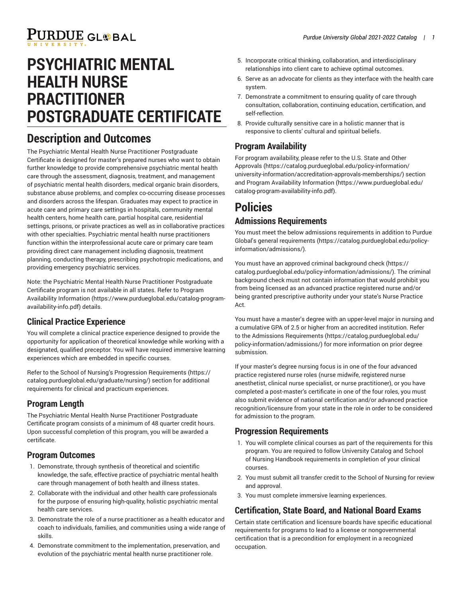# PURDUE GL®BAL

### **PSYCHIATRIC MENTAL HEALTH NURSE PRACTITIONER POSTGRADUATE CERTIFICATE**

### **Description and Outcomes**

The Psychiatric Mental Health Nurse Practitioner Postgraduate Certificate is designed for master's prepared nurses who want to obtain further knowledge to provide comprehensive psychiatric mental health care through the assessment, diagnosis, treatment, and management of psychiatric mental health disorders, medical organic brain disorders, substance abuse problems, and complex co-occurring disease processes and disorders across the lifespan. Graduates may expect to practice in acute care and primary care settings in hospitals, community mental health centers, home health care, partial hospital care, residential settings, prisons, or private practices as well as in collaborative practices with other specialties. Psychiatric mental health nurse practitioners function within the interprofessional acute care or primary care team providing direct care management including diagnosis, treatment planning, conducting therapy, prescribing psychotropic medications, and providing emergency psychiatric services.

Note: the Psychiatric Mental Health Nurse Practitioner Postgraduate Certificate program is not available in all states. Refer to [Program](https://www.purdueglobal.edu/catalog-program-availability-info.pdf) Availability [Information](https://www.purdueglobal.edu/catalog-program-availability-info.pdf) ([https://www.purdueglobal.edu/catalog-program](https://www.purdueglobal.edu/catalog-program-availability-info.pdf)[availability-info.pdf](https://www.purdueglobal.edu/catalog-program-availability-info.pdf)) details.

### **Clinical Practice Experience**

You will complete a clinical practice experience designed to provide the opportunity for application of theoretical knowledge while working with a designated, qualified preceptor. You will have required immersive learning experiences which are embedded in specific courses.

Refer to the School of Nursing's Progression [Requirements](https://catalog.purdueglobal.edu/graduate/nursing/) ([https://](https://catalog.purdueglobal.edu/graduate/nursing/) [catalog.purdueglobal.edu/graduate/nursing/\)](https://catalog.purdueglobal.edu/graduate/nursing/) section for additional requirements for clinical and practicum experiences.

### **Program Length**

The Psychiatric Mental Health Nurse Practitioner Postgraduate Certificate program consists of a minimum of 48 quarter credit hours. Upon successful completion of this program, you will be awarded a certificate.

#### **Program Outcomes**

- 1. Demonstrate, through synthesis of theoretical and scientific knowledge, the safe, effective practice of psychiatric mental health care through management of both health and illness states.
- 2. Collaborate with the individual and other health care professionals for the purpose of ensuring high-quality, holistic psychiatric mental health care services.
- 3. Demonstrate the role of a nurse practitioner as a health educator and coach to individuals, families, and communities using a wide range of skills.
- 4. Demonstrate commitment to the implementation, preservation, and evolution of the psychiatric mental health nurse practitioner role.
- 5. Incorporate critical thinking, collaboration, and interdisciplinary relationships into client care to achieve optimal outcomes.
- 6. Serve as an advocate for clients as they interface with the health care system.
- 7. Demonstrate a commitment to ensuring quality of care through consultation, collaboration, continuing education, certification, and self-reflection.
- 8. Provide culturally sensitive care in a holistic manner that is responsive to clients' cultural and spiritual beliefs.

### **Program Availability**

For program availability, please refer to the [U.S. State and Other](https://catalog.purdueglobal.edu/policy-information/university-information/accreditation-approvals-memberships/) [Approvals](https://catalog.purdueglobal.edu/policy-information/university-information/accreditation-approvals-memberships/) ([https://catalog.purdueglobal.edu/policy-information/](https://catalog.purdueglobal.edu/policy-information/university-information/accreditation-approvals-memberships/) [university-information/accreditation-approvals-memberships/](https://catalog.purdueglobal.edu/policy-information/university-information/accreditation-approvals-memberships/)) section and Program Availability [Information](https://www.purdueglobal.edu/catalog-program-availability-info.pdf) ([https://www.purdueglobal.edu/](https://www.purdueglobal.edu/catalog-program-availability-info.pdf) [catalog-program-availability-info.pdf\)](https://www.purdueglobal.edu/catalog-program-availability-info.pdf).

### **Policies**

#### **Admissions Requirements**

You must meet the below admissions requirements in addition to Purdue Global's general [requirements](https://catalog.purdueglobal.edu/policy-information/admissions/) ([https://catalog.purdueglobal.edu/policy](https://catalog.purdueglobal.edu/policy-information/admissions/)[information/admissions/](https://catalog.purdueglobal.edu/policy-information/admissions/)).

You must have an approved criminal [background](https://catalog.purdueglobal.edu/policy-information/admissions/) check [\(https://](https://catalog.purdueglobal.edu/policy-information/admissions/) [catalog.purdueglobal.edu/policy-information/admissions/\)](https://catalog.purdueglobal.edu/policy-information/admissions/). The criminal background check must not contain information that would prohibit you from being licensed as an advanced practice registered nurse and/or being granted prescriptive authority under your state's Nurse Practice Act.

You must have a master's degree with an upper-level major in nursing and a cumulative GPA of 2.5 or higher from an accredited institution. Refer to the Admissions [Requirements \(https://catalog.purdueglobal.edu/](https://catalog.purdueglobal.edu/policy-information/admissions/) [policy-information/admissions/\)](https://catalog.purdueglobal.edu/policy-information/admissions/) for more information on prior degree submission.

If your master's degree nursing focus is in one of the four advanced practice registered nurse roles (nurse midwife, registered nurse anesthetist, clinical nurse specialist, or nurse practitioner), or you have completed a post-master's certificate in one of the four roles, you must also submit evidence of national certification and/or advanced practice recognition/licensure from your state in the role in order to be considered for admission to the program.

#### **Progression Requirements**

- 1. You will complete clinical courses as part of the requirements for this program. You are required to follow University Catalog and School of Nursing Handbook requirements in completion of your clinical courses.
- 2. You must submit all transfer credit to the School of Nursing for review and approval.
- 3. You must complete immersive learning experiences.

### **Certification, State Board, and National Board Exams**

Certain state certification and licensure boards have specific educational requirements for programs to lead to a license or nongovernmental certification that is a precondition for employment in a recognized occupation.